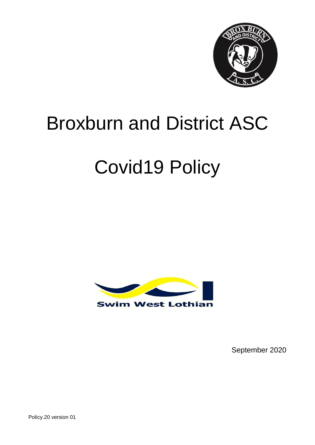

# Broxburn and District ASC

# Covid19 Policy



September 2020

Policy.20 version 01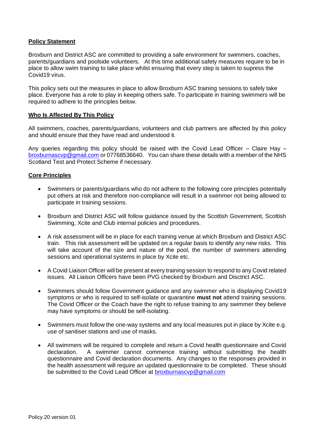### **Policy Statement**

Broxburn and District ASC are committed to providing a safe environment for swimmers, coaches, parents/guardians and poolside volunteers. At this time additional safety measures require to be in place to allow swim training to take place whilst ensuring that every step is taken to supress the Covid19 virus.

This policy sets out the measures in place to allow Broxburn ASC training sessions to safely take place. Everyone has a role to play in keeping others safe. To participate in training swimmers will be required to adhere to the principles below.

#### **Who Is Affected By This Policy**

All swimmers, coaches, parents/guardians, volunteers and club partners are affected by this policy and should ensure that they have read and understood it.

Any queries regarding this policy should be raised with the Covid Lead Officer – Claire Hay – [broxburnascvp@gmail.com](mailto:broxburnascvp@gmail.com) or 07768536640. You can share these details with a member of the NHS Scotland Test and Protect Scheme if necessary.

### **Core Principles**

- Swimmers or parents/guardians who do not adhere to the following core principles potentially put others at risk and therefore non-compliance will result in a swimmer not being allowed to participate in training sessions.
- Broxburn and District ASC will follow guidance issued by the Scottish Government, Scottish Swimming, Xcite and Club internal policies and procedures.
- A risk assessment will be in place for each training venue at which Broxburn and District ASC train. This risk assessment will be updated on a regular basis to identify any new risks. This will take account of the size and nature of the pool, the number of swimmers attending sessions and operational systems in place by Xcite etc.
- A Covid Liaison Officer will be present at every training session to respond to any Covid related issues. All Liaison Officers have been PVG checked by Broxburn and Disctrict ASC.
- Swimmers should follow Government guidance and any swimmer who is displaying Covid19 symptoms or who is required to self-isolate or quarantine **must not** attend training sessions. The Covid Officer or the Coach have the right to refuse training to any swimmer they believe may have symptoms or should be self-isolating.
- Swimmers must follow the one-way systems and any local measures put in place by Xcite e.g. use of sanitiser stations and use of masks.
- All swimmers will be required to complete and return a Covid health questionnaire and Covid declaration. A swimmer cannot commence training without submitting the health questionnaire and Covid declaration documents. Any changes to the responses provided in the health assessment will require an updated questionnaire to be completed. These should be submitted to the Covid Lead Officer at **broxburnascvp@gmail.com**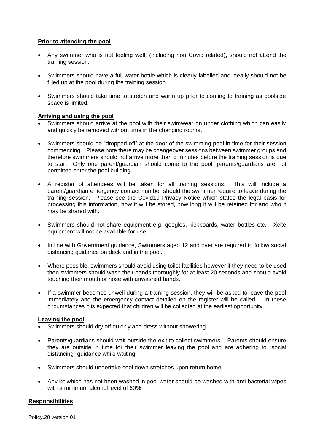# **Prior to attending the pool**

- Any swimmer who is not feeling well, (including non Covid related), should not attend the training session.
- Swimmers should have a full water bottle which is clearly labelled and ideally should not be filled up at the pool during the training session.
- Swimmers should take time to stretch and warm up prior to coming to training as poolside space is limited.

# **Arriving and using the pool**

- Swimmers should arrive at the pool with their swimwear on under clothing which can easily and quickly be removed without time in the changing rooms.
- Swimmers should be "dropped off" at the door of the swimming pool in time for their session commencing. Please note there may be changeover sessions between swimmer groups and therefore swimmers should not arrive more than 5 minutes before the training session is due to start Only one parent/guardian should come to the pool, parents/guardians are not permitted enter the pool building.
- A register of attendees will be taken for all training sessions. This will include a parent/guardian emergency contact number should the swimmer require to leave during the training session. Please see the Covid19 Privacy Notice which states the legal basis for processing this information, how it will be stored, how long it will be retained for and who it may be shared with.
- Swimmers should not share equipment e.g. googles, kickboards, water bottles etc. Xcite equipment will not be available for use.
- In line with Government guidance, Swimmers aged 12 and over are required to follow social distancing guidance on deck and in the pool.
- Where possible, swimmers should avoid using toilet facilities however if they need to be used then swimmers should wash their hands thoroughly for at least 20 seconds and should avoid touching their mouth or nose with unwashed hands.
- If a swimmer becomes unwell during a training session, they will be asked to leave the pool immediately and the emergency contact detailed on the register will be called. In these circumstances it is expected that children will be collected at the earliest opportunity.

### **Leaving the pool**

- Swimmers should dry off quickly and dress without showering.
- Parents/guardians should wait outside the exit to collect swimmers. Parents should ensure they are outside in time for their swimmer leaving the pool and are adhering to "social distancing" guidance while waiting.
- Swimmers should undertake cool down stretches upon return home.
- Any kit which has not been washed in pool water should be washed with anti-bacterial wipes with a minimum alcohol level of 60%

### **Responsibilities**